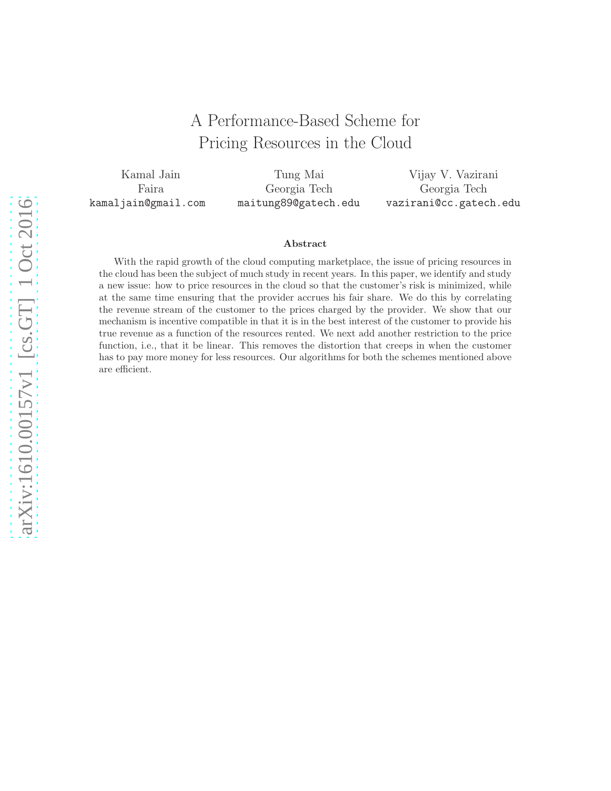# A Performance-Based Scheme for Pricing Resources in the Cloud

Kamal Jain Faira kamaljain@gmail.com

Tung Mai Georgia Tech maitung89@gatech.edu

Vijay V. Vazirani Georgia Tech vazirani@cc.gatech.edu

#### Abstract

With the rapid growth of the cloud computing marketplace, the issue of pricing resources in the cloud has been the subject of much study in recent years. In this paper, we identify and study a new issue: how to price resources in the cloud so that the customer's risk is minimized, while at the same time ensuring that the provider accrues his fair share. We do this by correlating the revenue stream of the customer to the prices charged by the provider. We show that our mechanism is incentive compatible in that it is in the best interest of the customer to provide his true revenue as a function of the resources rented. We next add another restriction to the price function, i.e., that it be linear. This removes the distortion that creeps in when the customer has to pay more money for less resources. Our algorithms for both the schemes mentioned above are efficient.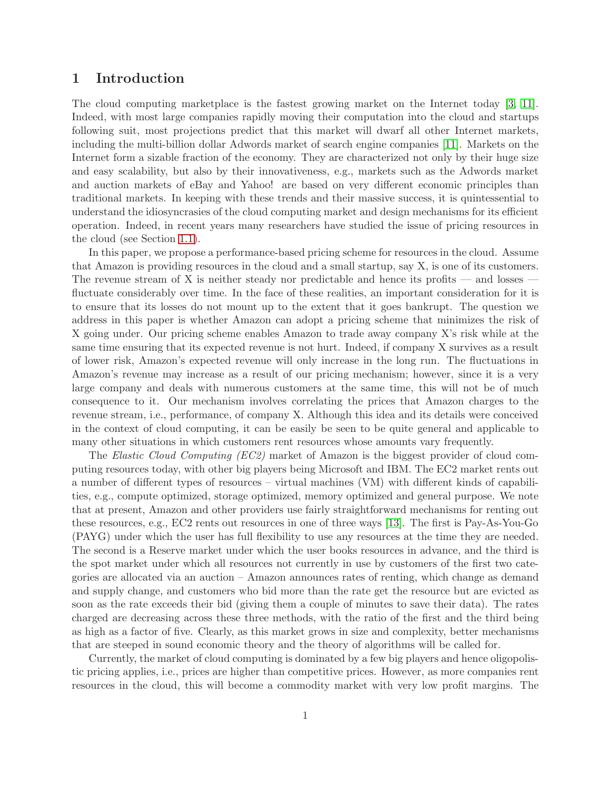### 1 Introduction

The cloud computing marketplace is the fastest growing market on the Internet today [\[3,](#page-11-0) [11\]](#page-11-1). Indeed, with most large companies rapidly moving their computation into the cloud and startups following suit, most projections predict that this market will dwarf all other Internet markets, including the multi-billion dollar Adwords market of search engine companies [\[11\]](#page-11-1). Markets on the Internet form a sizable fraction of the economy. They are characterized not only by their huge size and easy scalability, but also by their innovativeness, e.g., markets such as the Adwords market and auction markets of eBay and Yahoo! are based on very different economic principles than traditional markets. In keeping with these trends and their massive success, it is quintessential to understand the idiosyncrasies of the cloud computing market and design mechanisms for its efficient operation. Indeed, in recent years many researchers have studied the issue of pricing resources in the cloud (see Section [1.1\)](#page-2-0).

In this paper, we propose a performance-based pricing scheme for resources in the cloud. Assume that Amazon is providing resources in the cloud and a small startup, say X, is one of its customers. The revenue stream of X is neither steady nor predictable and hence its profits — and losses fluctuate considerably over time. In the face of these realities, an important consideration for it is to ensure that its losses do not mount up to the extent that it goes bankrupt. The question we address in this paper is whether Amazon can adopt a pricing scheme that minimizes the risk of X going under. Our pricing scheme enables Amazon to trade away company X's risk while at the same time ensuring that its expected revenue is not hurt. Indeed, if company X survives as a result of lower risk, Amazon's expected revenue will only increase in the long run. The fluctuations in Amazon's revenue may increase as a result of our pricing mechanism; however, since it is a very large company and deals with numerous customers at the same time, this will not be of much consequence to it. Our mechanism involves correlating the prices that Amazon charges to the revenue stream, i.e., performance, of company X. Although this idea and its details were conceived in the context of cloud computing, it can be easily be seen to be quite general and applicable to many other situations in which customers rent resources whose amounts vary frequently.

The *Elastic Cloud Computing (EC2)* market of Amazon is the biggest provider of cloud computing resources today, with other big players being Microsoft and IBM. The EC2 market rents out a number of different types of resources – virtual machines (VM) with different kinds of capabilities, e.g., compute optimized, storage optimized, memory optimized and general purpose. We note that at present, Amazon and other providers use fairly straightforward mechanisms for renting out these resources, e.g., EC2 rents out resources in one of three ways [\[13\]](#page-11-2). The first is Pay-As-You-Go (PAYG) under which the user has full flexibility to use any resources at the time they are needed. The second is a Reserve market under which the user books resources in advance, and the third is the spot market under which all resources not currently in use by customers of the first two categories are allocated via an auction – Amazon announces rates of renting, which change as demand and supply change, and customers who bid more than the rate get the resource but are evicted as soon as the rate exceeds their bid (giving them a couple of minutes to save their data). The rates charged are decreasing across these three methods, with the ratio of the first and the third being as high as a factor of five. Clearly, as this market grows in size and complexity, better mechanisms that are steeped in sound economic theory and the theory of algorithms will be called for.

Currently, the market of cloud computing is dominated by a few big players and hence oligopolistic pricing applies, i.e., prices are higher than competitive prices. However, as more companies rent resources in the cloud, this will become a commodity market with very low profit margins. The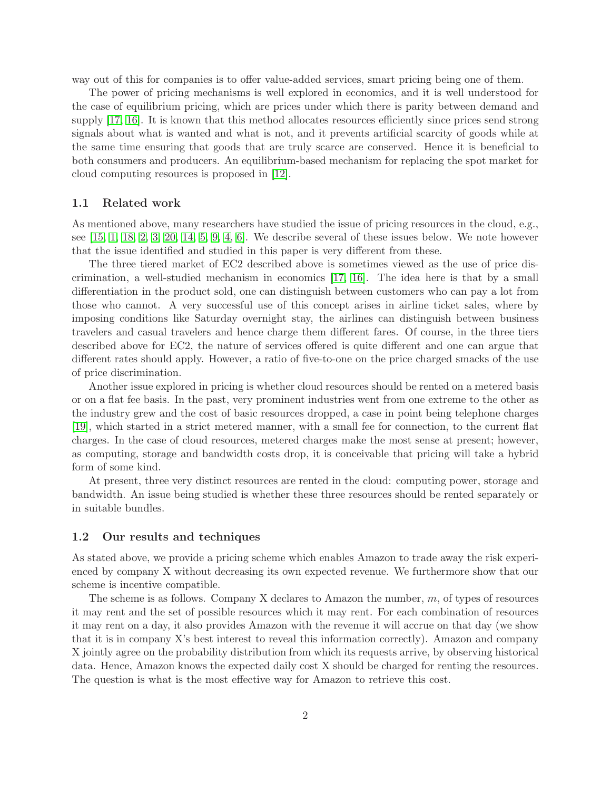way out of this for companies is to offer value-added services, smart pricing being one of them.

The power of pricing mechanisms is well explored in economics, and it is well understood for the case of equilibrium pricing, which are prices under which there is parity between demand and supply [\[17,](#page-11-3) [16\]](#page-11-4). It is known that this method allocates resources efficiently since prices send strong signals about what is wanted and what is not, and it prevents artificial scarcity of goods while at the same time ensuring that goods that are truly scarce are conserved. Hence it is beneficial to both consumers and producers. An equilibrium-based mechanism for replacing the spot market for cloud computing resources is proposed in [\[12\]](#page-11-5).

#### <span id="page-2-0"></span>1.1 Related work

As mentioned above, many researchers have studied the issue of pricing resources in the cloud, e.g., see [\[15,](#page-11-6) [1,](#page-11-7) [18,](#page-11-8) [2,](#page-11-9) [3,](#page-11-0) [20,](#page-12-0) [14,](#page-11-10) [5,](#page-11-11) [9,](#page-11-12) [4,](#page-11-13) [6\]](#page-11-14). We describe several of these issues below. We note however that the issue identified and studied in this paper is very different from these.

The three tiered market of EC2 described above is sometimes viewed as the use of price discrimination, a well-studied mechanism in economics [\[17,](#page-11-3) [16\]](#page-11-4). The idea here is that by a small differentiation in the product sold, one can distinguish between customers who can pay a lot from those who cannot. A very successful use of this concept arises in airline ticket sales, where by imposing conditions like Saturday overnight stay, the airlines can distinguish between business travelers and casual travelers and hence charge them different fares. Of course, in the three tiers described above for EC2, the nature of services offered is quite different and one can argue that different rates should apply. However, a ratio of five-to-one on the price charged smacks of the use of price discrimination.

Another issue explored in pricing is whether cloud resources should be rented on a metered basis or on a flat fee basis. In the past, very prominent industries went from one extreme to the other as the industry grew and the cost of basic resources dropped, a case in point being telephone charges [\[19\]](#page-12-1), which started in a strict metered manner, with a small fee for connection, to the current flat charges. In the case of cloud resources, metered charges make the most sense at present; however, as computing, storage and bandwidth costs drop, it is conceivable that pricing will take a hybrid form of some kind.

At present, three very distinct resources are rented in the cloud: computing power, storage and bandwidth. An issue being studied is whether these three resources should be rented separately or in suitable bundles.

#### 1.2 Our results and techniques

As stated above, we provide a pricing scheme which enables Amazon to trade away the risk experienced by company X without decreasing its own expected revenue. We furthermore show that our scheme is incentive compatible.

The scheme is as follows. Company X declares to Amazon the number,  $m$ , of types of resources it may rent and the set of possible resources which it may rent. For each combination of resources it may rent on a day, it also provides Amazon with the revenue it will accrue on that day (we show that it is in company X's best interest to reveal this information correctly). Amazon and company X jointly agree on the probability distribution from which its requests arrive, by observing historical data. Hence, Amazon knows the expected daily cost X should be charged for renting the resources. The question is what is the most effective way for Amazon to retrieve this cost.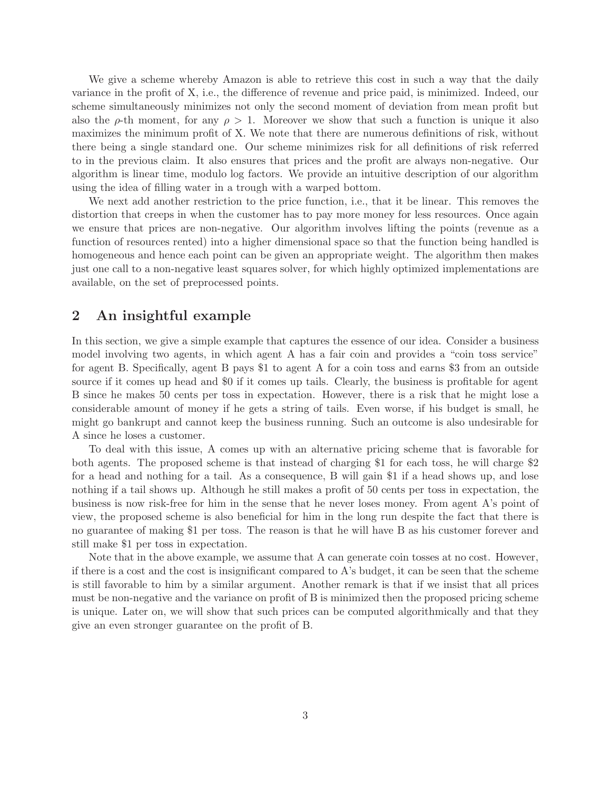We give a scheme whereby Amazon is able to retrieve this cost in such a way that the daily variance in the profit of X, i.e., the difference of revenue and price paid, is minimized. Indeed, our scheme simultaneously minimizes not only the second moment of deviation from mean profit but also the  $\rho$ -th moment, for any  $\rho > 1$ . Moreover we show that such a function is unique it also maximizes the minimum profit of X. We note that there are numerous definitions of risk, without there being a single standard one. Our scheme minimizes risk for all definitions of risk referred to in the previous claim. It also ensures that prices and the profit are always non-negative. Our algorithm is linear time, modulo log factors. We provide an intuitive description of our algorithm using the idea of filling water in a trough with a warped bottom.

We next add another restriction to the price function, i.e., that it be linear. This removes the distortion that creeps in when the customer has to pay more money for less resources. Once again we ensure that prices are non-negative. Our algorithm involves lifting the points (revenue as a function of resources rented) into a higher dimensional space so that the function being handled is homogeneous and hence each point can be given an appropriate weight. The algorithm then makes just one call to a non-negative least squares solver, for which highly optimized implementations are available, on the set of preprocessed points.

## 2 An insightful example

In this section, we give a simple example that captures the essence of our idea. Consider a business model involving two agents, in which agent A has a fair coin and provides a "coin toss service" for agent B. Specifically, agent B pays \$1 to agent A for a coin toss and earns \$3 from an outside source if it comes up head and \$0 if it comes up tails. Clearly, the business is profitable for agent B since he makes 50 cents per toss in expectation. However, there is a risk that he might lose a considerable amount of money if he gets a string of tails. Even worse, if his budget is small, he might go bankrupt and cannot keep the business running. Such an outcome is also undesirable for A since he loses a customer.

To deal with this issue, A comes up with an alternative pricing scheme that is favorable for both agents. The proposed scheme is that instead of charging \$1 for each toss, he will charge \$2 for a head and nothing for a tail. As a consequence, B will gain \$1 if a head shows up, and lose nothing if a tail shows up. Although he still makes a profit of 50 cents per toss in expectation, the business is now risk-free for him in the sense that he never loses money. From agent A's point of view, the proposed scheme is also beneficial for him in the long run despite the fact that there is no guarantee of making \$1 per toss. The reason is that he will have B as his customer forever and still make \$1 per toss in expectation.

Note that in the above example, we assume that A can generate coin tosses at no cost. However, if there is a cost and the cost is insignificant compared to A's budget, it can be seen that the scheme is still favorable to him by a similar argument. Another remark is that if we insist that all prices must be non-negative and the variance on profit of B is minimized then the proposed pricing scheme is unique. Later on, we will show that such prices can be computed algorithmically and that they give an even stronger guarantee on the profit of B.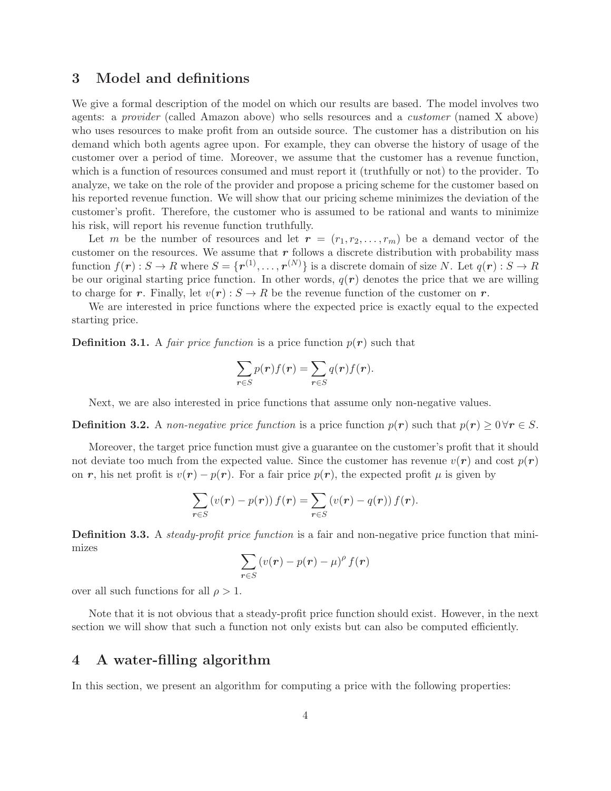### 3 Model and definitions

We give a formal description of the model on which our results are based. The model involves two agents: a *provider* (called Amazon above) who sells resources and a *customer* (named X above) who uses resources to make profit from an outside source. The customer has a distribution on his demand which both agents agree upon. For example, they can obverse the history of usage of the customer over a period of time. Moreover, we assume that the customer has a revenue function, which is a function of resources consumed and must report it (truthfully or not) to the provider. To analyze, we take on the role of the provider and propose a pricing scheme for the customer based on his reported revenue function. We will show that our pricing scheme minimizes the deviation of the customer's profit. Therefore, the customer who is assumed to be rational and wants to minimize his risk, will report his revenue function truthfully.

Let m be the number of resources and let  $r = (r_1, r_2, \ldots, r_m)$  be a demand vector of the customer on the resources. We assume that  $r$  follows a discrete distribution with probability mass function  $f(\mathbf{r}): S \to R$  where  $S = \{r^{(1)}, \ldots, r^{(N)}\}$  is a discrete domain of size N. Let  $q(\mathbf{r}): S \to R$ be our original starting price function. In other words,  $q(r)$  denotes the price that we are willing to charge for r. Finally, let  $v(r): S \to R$  be the revenue function of the customer on r.

We are interested in price functions where the expected price is exactly equal to the expected starting price.

**Definition 3.1.** A *fair price function* is a price function  $p(r)$  such that

$$
\sum_{r \in S} p(r)f(r) = \sum_{r \in S} q(r)f(r).
$$

Next, we are also interested in price functions that assume only non-negative values.

**Definition 3.2.** A *non-negative price function* is a price function  $p(r)$  such that  $p(r) \geq 0 \forall r \in S$ .

Moreover, the target price function must give a guarantee on the customer's profit that it should not deviate too much from the expected value. Since the customer has revenue  $v(\mathbf{r})$  and cost  $p(\mathbf{r})$ on r, his net profit is  $v(r) - p(r)$ . For a fair price  $p(r)$ , the expected profit  $\mu$  is given by

$$
\sum_{\mathbf{r}\in S} \left(v(\mathbf{r}) - p(\mathbf{r})\right) f(\mathbf{r}) = \sum_{\mathbf{r}\in S} \left(v(\mathbf{r}) - q(\mathbf{r})\right) f(\mathbf{r}).
$$

Definition 3.3. A *steady-profit price function* is a fair and non-negative price function that minimizes

$$
\sum_{\mathbf{r}\in S}\left(v(\mathbf{r})-p(\mathbf{r})-\mu\right)^{\rho}f(\mathbf{r})
$$

over all such functions for all  $\rho > 1$ .

Note that it is not obvious that a steady-profit price function should exist. However, in the next section we will show that such a function not only exists but can also be computed efficiently.

## 4 A water-filling algorithm

In this section, we present an algorithm for computing a price with the following properties: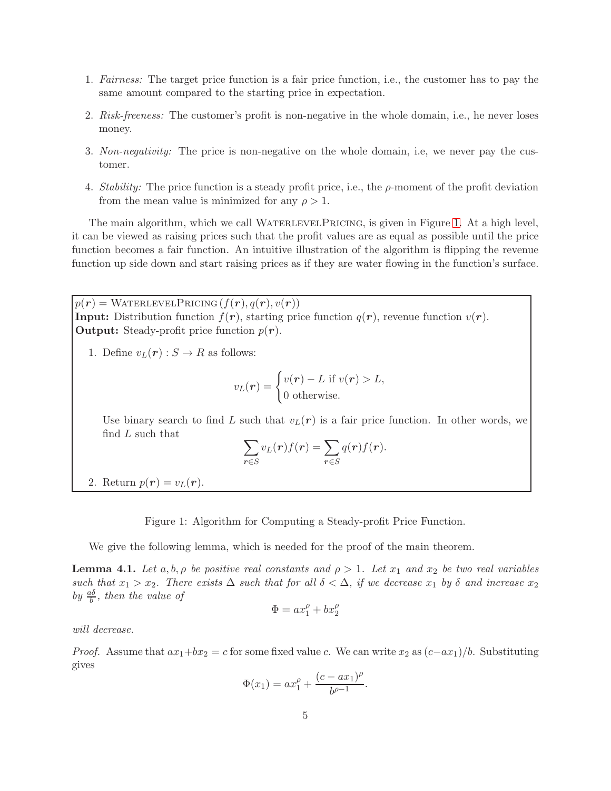- 1. *Fairness:* The target price function is a fair price function, i.e., the customer has to pay the same amount compared to the starting price in expectation.
- 2. *Risk-freeness:* The customer's profit is non-negative in the whole domain, i.e., he never loses money.
- 3. *Non-negativity:* The price is non-negative on the whole domain, i.e, we never pay the customer.
- 4. *Stability:* The price function is a steady profit price, i.e., the ρ-moment of the profit deviation from the mean value is minimized for any  $\rho > 1$ .

The main algorithm, which we call WATERLEVELPRICING, is given in Figure [1.](#page-5-0) At a high level, it can be viewed as raising prices such that the profit values are as equal as possible until the price function becomes a fair function. An intuitive illustration of the algorithm is flipping the revenue function up side down and start raising prices as if they are water flowing in the function's surface.

 $p(r) = \text{WATERLEVELPRICING}(f(r), q(r), v(r))$ **Input:** Distribution function  $f(r)$ , starting price function  $q(r)$ , revenue function  $v(r)$ . **Output:** Steady-profit price function  $p(r)$ .

1. Define  $v_L(\mathbf{r}) : S \to R$  as follows:

$$
v_L(\mathbf{r}) = \begin{cases} v(\mathbf{r}) - L \text{ if } v(\mathbf{r}) > L, \\ 0 \text{ otherwise.} \end{cases}
$$

Use binary search to find L such that  $v_L(r)$  is a fair price function. In other words, we find  $L$  such that

$$
\sum_{\mathbf{r}\in S} v_L(\mathbf{r})f(\mathbf{r}) = \sum_{\mathbf{r}\in S} q(\mathbf{r})f(\mathbf{r}).
$$

2. Return  $p(\mathbf{r}) = v_L(\mathbf{r}).$ 

<span id="page-5-0"></span>Figure 1: Algorithm for Computing a Steady-profit Price Function.

We give the following lemma, which is needed for the proof of the main theorem.

<span id="page-5-1"></span>**Lemma 4.1.** Let  $a, b, \rho$  be positive real constants and  $\rho > 1$ . Let  $x_1$  and  $x_2$  be two real variables *such that*  $x_1 > x_2$ . There exists  $\Delta$  *such that for all*  $\delta < \Delta$ *, if we decrease*  $x_1$  *by*  $\delta$  *and increase*  $x_2$ by  $\frac{a\delta}{b}$ , then the value of

$$
\Phi=ax_1^\rho+bx_2^\rho
$$

*will decrease.*

*Proof.* Assume that  $ax_1+bx_2 = c$  for some fixed value c. We can write  $x_2$  as  $(c-ax_1)/b$ . Substituting gives

$$
\Phi(x_1) = ax_1^{\rho} + \frac{(c - ax_1)^{\rho}}{b^{\rho - 1}}.
$$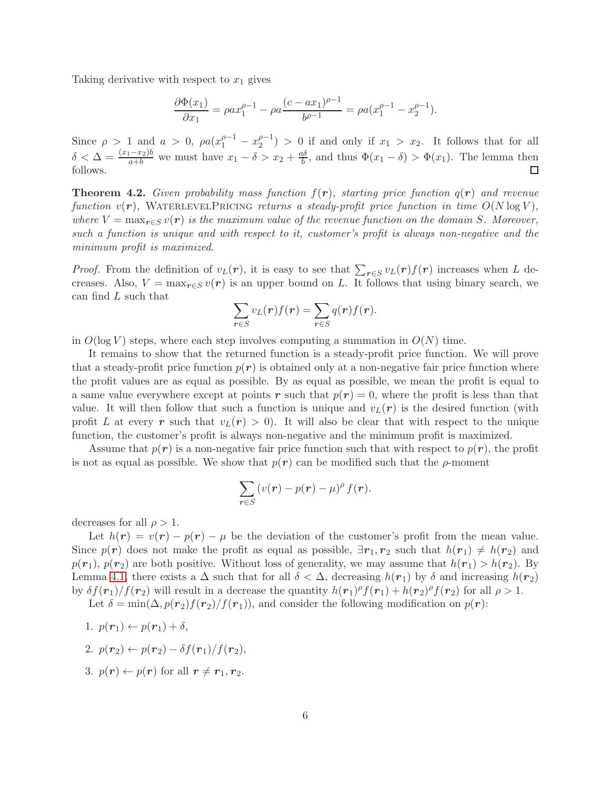Taking derivative with respect to  $x_1$  gives

$$
\frac{\partial \Phi(x_1)}{\partial x_1} = \rho a x_1^{\rho-1} - \rho a \frac{(c - ax_1)^{\rho-1}}{b^{\rho-1}} = \rho a (x_1^{\rho-1} - x_2^{\rho-1}).
$$

Since  $\rho > 1$  and  $a > 0$ ,  $\rho a(x_1^{\rho-1} - x_2^{\rho-1})$  $\binom{p-1}{2}$  > 0 if and only if  $x_1 > x_2$ . It follows that for all  $\delta < \Delta = \frac{(x_1 - x_2)b}{a+b}$  we must have  $x_1 - \delta > x_2 + \frac{a\delta}{b}$  $\frac{\omega}{b}$ , and thus  $\Phi(x_1 - \delta) > \Phi(x_1)$ . The lemma then follows.  $\Box$ 

**Theorem 4.2.** Given probability mass function  $f(r)$ , starting price function  $q(r)$  and revenue *function*  $v(\mathbf{r})$ , WATERLEVELPRICING *returns a steady-profit price function in time*  $O(N \log V)$ , *where*  $V = \max_{r \in S} v(r)$  *is the maximum value of the revenue function on the domain* S. Moreover, *such a function is unique and with respect to it, customer's profit is always non-negative and the minimum profit is maximized.*

*Proof.* From the definition of  $v_L(r)$ , it is easy to see that  $\sum_{r \in S} v_L(r) f(r)$  increases when L decreases. Also,  $V = \max_{r \in S} v(r)$  is an upper bound on L. It follows that using binary search, we can find L such that

$$
\sum_{r \in S} v_L(r) f(r) = \sum_{r \in S} q(r) f(r).
$$

in  $O(\log V)$  steps, where each step involves computing a summation in  $O(N)$  time.

It remains to show that the returned function is a steady-profit price function. We will prove that a steady-profit price function  $p(r)$  is obtained only at a non-negative fair price function where the profit values are as equal as possible. By as equal as possible, we mean the profit is equal to a same value everywhere except at points r such that  $p(r) = 0$ , where the profit is less than that value. It will then follow that such a function is unique and  $v_L(r)$  is the desired function (with profit L at every r such that  $v_L(r) > 0$ . It will also be clear that with respect to the unique function, the customer's profit is always non-negative and the minimum profit is maximized.

Assume that  $p(r)$  is a non-negative fair price function such that with respect to  $p(r)$ , the profit is not as equal as possible. We show that  $p(r)$  can be modified such that the  $\rho$ -moment

$$
\sum_{r \in S} \left( v(\mathbf{r}) - p(\mathbf{r}) - \mu \right)^{\rho} f(\mathbf{r}).
$$

decreases for all  $\rho > 1$ .

Let  $h(r) = v(r) - p(r) - \mu$  be the deviation of the customer's profit from the mean value. Since  $p(r)$  does not make the profit as equal as possible,  $\exists r_1, r_2$  such that  $h(r_1) \neq h(r_2)$  and  $p(r_1)$ ,  $p(r_2)$  are both positive. Without loss of generality, we may assume that  $h(r_1) > h(r_2)$ . By Lemma [4.1,](#page-5-1) there exists a  $\Delta$  such that for all  $\delta < \Delta$ , decreasing  $h(r_1)$  by  $\delta$  and increasing  $h(r_2)$ by  $\delta f(\mathbf{r}_1)/f(\mathbf{r}_2)$  will result in a decrease the quantity  $h(\mathbf{r}_1)^{\rho} f(\mathbf{r}_1) + h(\mathbf{r}_2)^{\rho} f(\mathbf{r}_2)$  for all  $\rho > 1$ .

Let  $\delta = \min(\Delta, p(\mathbf{r}_2)f(\mathbf{r}_2)/f(\mathbf{r}_1))$ , and consider the following modification on  $p(\mathbf{r})$ :

$$
1. \, p(\mathbf{r}_1) \leftarrow p(\mathbf{r}_1) + \delta,
$$

$$
2. \ \ p(\boldsymbol{r}_2) \leftarrow p(\boldsymbol{r}_2) - \delta f(\boldsymbol{r}_1) / f(\boldsymbol{r}_2),
$$

3.  $p(r) \leftarrow p(r)$  for all  $r \neq r_1, r_2$ .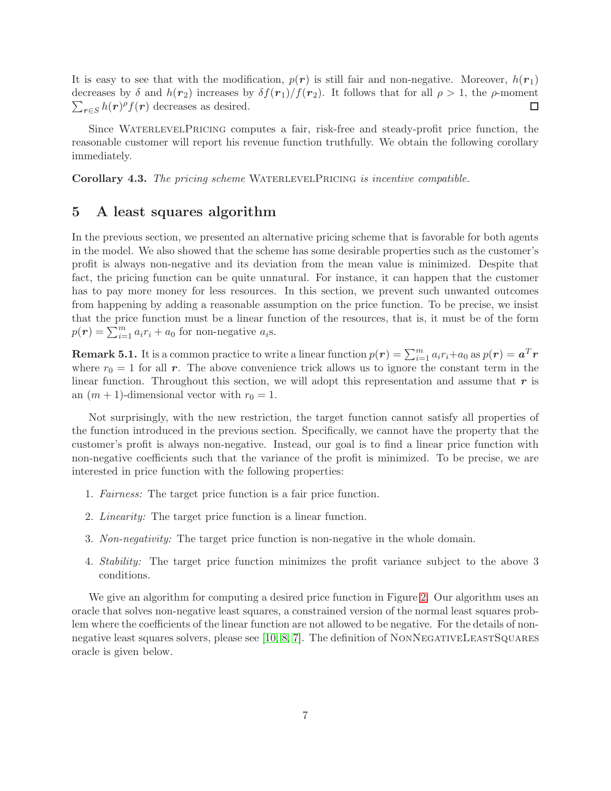It is easy to see that with the modification,  $p(\mathbf{r})$  is still fair and non-negative. Moreover,  $h(\mathbf{r}_1)$ decreases by  $\delta$  and  $h(r_2)$  increases by  $\delta f(r_1)/f(r_2)$ . It follows that for all  $\rho > 1$ , the  $\rho$ -moment  $\sum_{r \in S} h(r)^{\rho} f(r)$  decreases as desired.  $\Box$ 

Since WATERLEVELPRICING computes a fair, risk-free and steady-profit price function, the reasonable customer will report his revenue function truthfully. We obtain the following corollary immediately.

Corollary 4.3. *The pricing scheme* WaterlevelPricing *is incentive compatible.*

### 5 A least squares algorithm

In the previous section, we presented an alternative pricing scheme that is favorable for both agents in the model. We also showed that the scheme has some desirable properties such as the customer's profit is always non-negative and its deviation from the mean value is minimized. Despite that fact, the pricing function can be quite unnatural. For instance, it can happen that the customer has to pay more money for less resources. In this section, we prevent such unwanted outcomes from happening by adding a reasonable assumption on the price function. To be precise, we insist that the price function must be a linear function of the resources, that is, it must be of the form  $p(\boldsymbol{r}) = \sum_{i=1}^{m} a_i r_i + a_0$  for non-negative  $a_i$ s.

**Remark 5.1.** It is a common practice to write a linear function  $p(\bm{r}) = \sum_{i=1}^{m} a_i r_i + a_0$  as  $p(\bm{r}) = \bm{a}^T \bm{r}$ where  $r_0 = 1$  for all r. The above convenience trick allows us to ignore the constant term in the linear function. Throughout this section, we will adopt this representation and assume that  $r$  is an  $(m + 1)$ -dimensional vector with  $r_0 = 1$ .

Not surprisingly, with the new restriction, the target function cannot satisfy all properties of the function introduced in the previous section. Specifically, we cannot have the property that the customer's profit is always non-negative. Instead, our goal is to find a linear price function with non-negative coefficients such that the variance of the profit is minimized. To be precise, we are interested in price function with the following properties:

- 1. *Fairness:* The target price function is a fair price function.
- 2. *Linearity:* The target price function is a linear function.
- 3. *Non-negativity:* The target price function is non-negative in the whole domain.
- 4. *Stability:* The target price function minimizes the profit variance subject to the above 3 conditions.

We give an algorithm for computing a desired price function in Figure [2.](#page-8-0) Our algorithm uses an oracle that solves non-negative least squares, a constrained version of the normal least squares problem where the coefficients of the linear function are not allowed to be negative. For the details of nonnegative least squares solvers, please see  $[10, 8, 7]$  $[10, 8, 7]$  $[10, 8, 7]$ . The definition of NONNEGATIVELEASTSQUARES oracle is given below.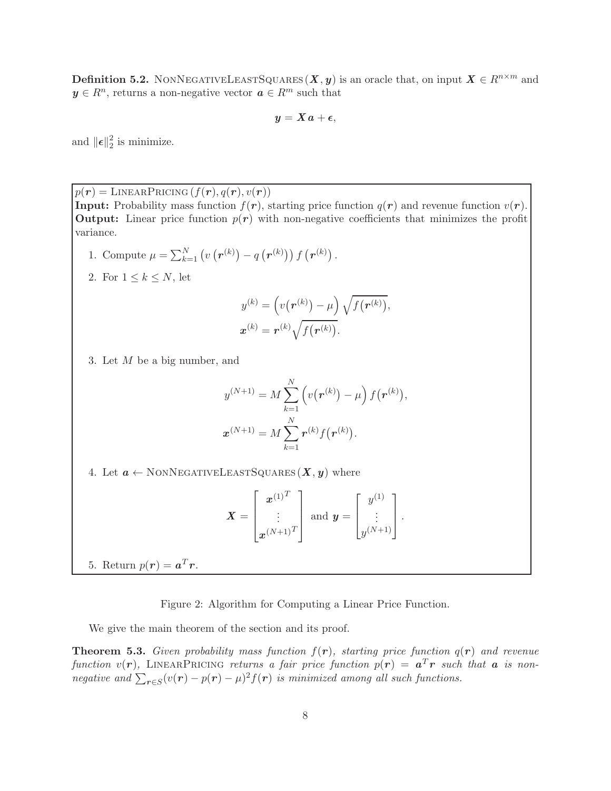Definition 5.2. NONNEGATIVELEASTSQUARES  $(X, y)$  is an oracle that, on input  $X \in R^{n \times m}$  and  $y \in \mathbb{R}^n$ , returns a non-negative vector  $a \in \mathbb{R}^m$  such that

$$
y = Xa + \epsilon,
$$

and  $\|\boldsymbol{\epsilon}\|_2^2$  $\frac{2}{2}$  is minimize.

 $p(\mathbf{r}) =$  LINEARPRICING  $(f(\mathbf{r}), q(\mathbf{r}), v(\mathbf{r}))$ 

**Input:** Probability mass function  $f(r)$ , starting price function  $q(r)$  and revenue function  $v(r)$ . **Output:** Linear price function  $p(r)$  with non-negative coefficients that minimizes the profit variance.

- 1. Compute  $\mu = \sum_{k=1}^{N} (v(\mathbf{r}^{(k)}) q(\mathbf{r}^{(k)})) f(\mathbf{r}^{(k)})$ .
- 2. For  $1 \leq k \leq N$ , let

$$
y^{(k)} = (v(\mathbf{r}^{(k)}) - \mu) \sqrt{f(\mathbf{r}^{(k)})},
$$
  

$$
\mathbf{x}^{(k)} = \mathbf{r}^{(k)} \sqrt{f(\mathbf{r}^{(k)})}.
$$

3. Let M be a big number, and

$$
y^{(N+1)} = M \sum_{k=1}^{N} \left( v(r^{(k)}) - \mu \right) f(r^{(k)}),
$$
  

$$
x^{(N+1)} = M \sum_{k=1}^{N} r^{(k)} f(r^{(k)}).
$$

4. Let  $a \leftarrow \text{NonNEGATIVELEASTSQUARES}(\boldsymbol{X}, y)$  where

$$
\boldsymbol{X} = \begin{bmatrix} \boldsymbol{x}^{(1)^T} \\ \vdots \\ \boldsymbol{x}^{(N+1)^T} \end{bmatrix} \text{ and } \boldsymbol{y} = \begin{bmatrix} y^{(1)} \\ \vdots \\ y^{(N+1)} \end{bmatrix}.
$$

5. Return  $p(r) = a^T r$ .

<span id="page-8-0"></span>Figure 2: Algorithm for Computing a Linear Price Function.

We give the main theorem of the section and its proof.

**Theorem 5.3.** Given probability mass function  $f(r)$ , starting price function  $q(r)$  and revenue *function*  $v(\mathbf{r})$ , LINEARPRICING *returns* a *fair price function*  $p(\mathbf{r}) = \mathbf{a}^T \mathbf{r}$  *such that*  $\mathbf{a}$  *is nonnegative and*  $\sum_{r \in S} (v(r) - p(r) - \mu)^2 f(r)$  *is minimized among all such functions.*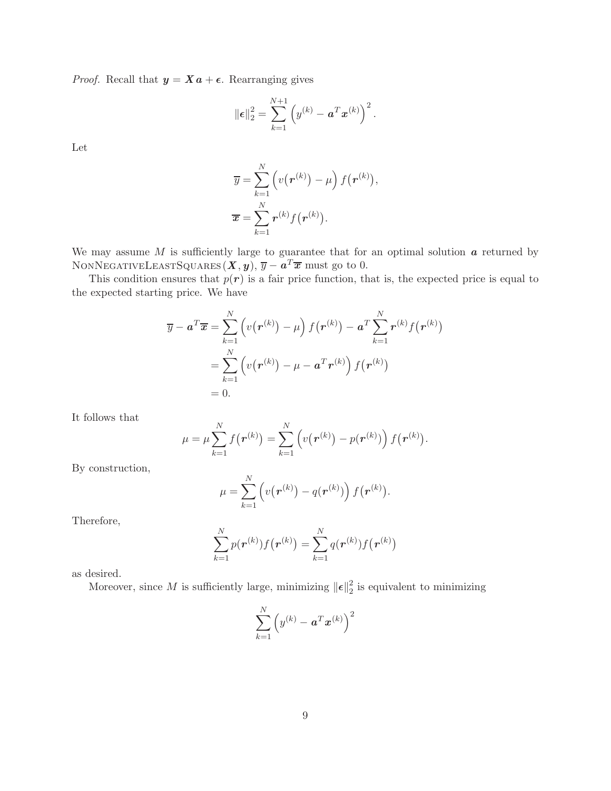*Proof.* Recall that  $y = Xa + \epsilon$ . Rearranging gives

$$
\|\boldsymbol{\epsilon}\|_2^2 = \sum_{k=1}^{N+1} \left( y^{(k)} - \boldsymbol{a}^T \boldsymbol{x}^{(k)} \right)^2.
$$

Let

$$
\overline{y} = \sum_{k=1}^{N} \left( v(\boldsymbol{r}^{(k)}) - \mu \right) f(\boldsymbol{r}^{(k)}),
$$

$$
\overline{x} = \sum_{k=1}^{N} \boldsymbol{r}^{(k)} f(\boldsymbol{r}^{(k)}).
$$

We may assume  $M$  is sufficiently large to guarantee that for an optimal solution  $\boldsymbol{a}$  returned by NONNEGATIVELEASTSQUARES  $(\bm{X},\bm{y}),\,\overline{y}-\bm{a}^T\overline{\bm{x}}$  must go to 0.

This condition ensures that  $p(r)$  is a fair price function, that is, the expected price is equal to the expected starting price. We have

$$
\overline{y} - \mathbf{a}^T \overline{\mathbf{x}} = \sum_{k=1}^N \left( v(\mathbf{r}^{(k)}) - \mu \right) f(\mathbf{r}^{(k)}) - \mathbf{a}^T \sum_{k=1}^N \mathbf{r}^{(k)} f(\mathbf{r}^{(k)})
$$

$$
= \sum_{k=1}^N \left( v(\mathbf{r}^{(k)}) - \mu - \mathbf{a}^T \mathbf{r}^{(k)} \right) f(\mathbf{r}^{(k)})
$$

$$
= 0.
$$

It follows that

$$
\mu = \mu \sum_{k=1}^{N} f(\mathbf{r}^{(k)}) = \sum_{k=1}^{N} \left( v(\mathbf{r}^{(k)}) - p(\mathbf{r}^{(k)}) \right) f(\mathbf{r}^{(k)}).
$$

By construction,

$$
\mu = \sum_{k=1}^{N} \left( v(\mathbf{r}^{(k)}) - q(\mathbf{r}^{(k)}) \right) f(\mathbf{r}^{(k)}).
$$

Therefore,

$$
\sum_{k=1}^{N} p(\boldsymbol{r}^{(k)}) f(\boldsymbol{r}^{(k)}) = \sum_{k=1}^{N} q(\boldsymbol{r}^{(k)}) f(\boldsymbol{r}^{(k)})
$$

as desired.

Moreover, since M is sufficiently large, minimizing  $\|\epsilon\|_2^2$  $\frac{2}{2}$  is equivalent to minimizing

$$
\sum_{k=1}^N \left(y^{(k)} - \boldsymbol{a}^T\boldsymbol{x}^{(k)}\right)^2
$$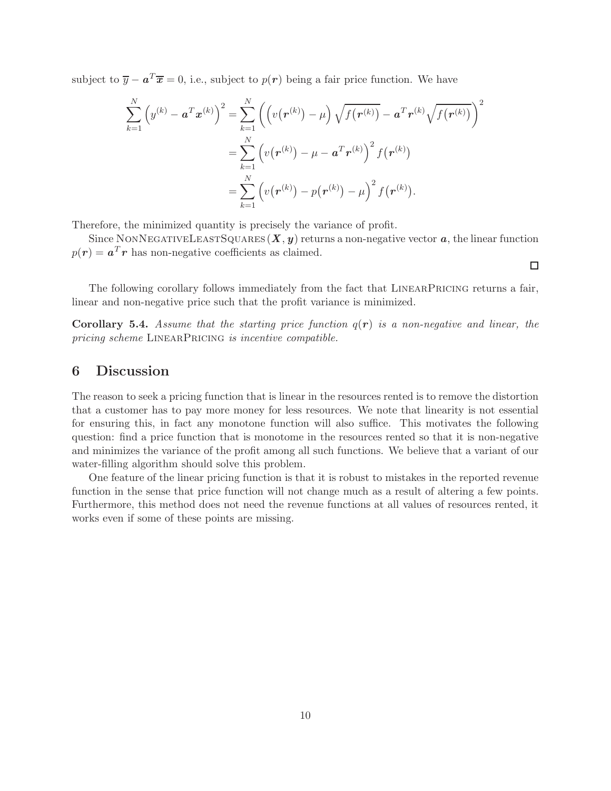subject to  $\bar{y} - a^T \bar{x} = 0$ , i.e., subject to  $p(r)$  being a fair price function. We have

$$
\sum_{k=1}^{N} \left( y^{(k)} - \mathbf{a}^{T} \mathbf{x}^{(k)} \right)^{2} = \sum_{k=1}^{N} \left( \left( v(\mathbf{r}^{(k)}) - \mu \right) \sqrt{f(\mathbf{r}^{(k)})} - \mathbf{a}^{T} \mathbf{r}^{(k)} \sqrt{f(\mathbf{r}^{(k)})} \right)^{2}
$$

$$
= \sum_{k=1}^{N} \left( v(\mathbf{r}^{(k)}) - \mu - \mathbf{a}^{T} \mathbf{r}^{(k)} \right)^{2} f(\mathbf{r}^{(k)})
$$

$$
= \sum_{k=1}^{N} \left( v(\mathbf{r}^{(k)}) - p(\mathbf{r}^{(k)}) - \mu \right)^{2} f(\mathbf{r}^{(k)}).
$$

Therefore, the minimized quantity is precisely the variance of profit.

Since NONNEGATIVELEASTSQUARES  $(X, y)$  returns a non-negative vector  $a$ , the linear function  $p(r) = a<sup>T</sup>r$  has non-negative coefficients as claimed.

 $\Box$ 

The following corollary follows immediately from the fact that LINEARPRICING returns a fair, linear and non-negative price such that the profit variance is minimized.

**Corollary 5.4.** Assume that the starting price function  $q(r)$  is a non-negative and linear, the *pricing scheme* LinearPricing *is incentive compatible.*

#### 6 Discussion

The reason to seek a pricing function that is linear in the resources rented is to remove the distortion that a customer has to pay more money for less resources. We note that linearity is not essential for ensuring this, in fact any monotone function will also suffice. This motivates the following question: find a price function that is monotome in the resources rented so that it is non-negative and minimizes the variance of the profit among all such functions. We believe that a variant of our water-filling algorithm should solve this problem.

One feature of the linear pricing function is that it is robust to mistakes in the reported revenue function in the sense that price function will not change much as a result of altering a few points. Furthermore, this method does not need the revenue functions at all values of resources rented, it works even if some of these points are missing.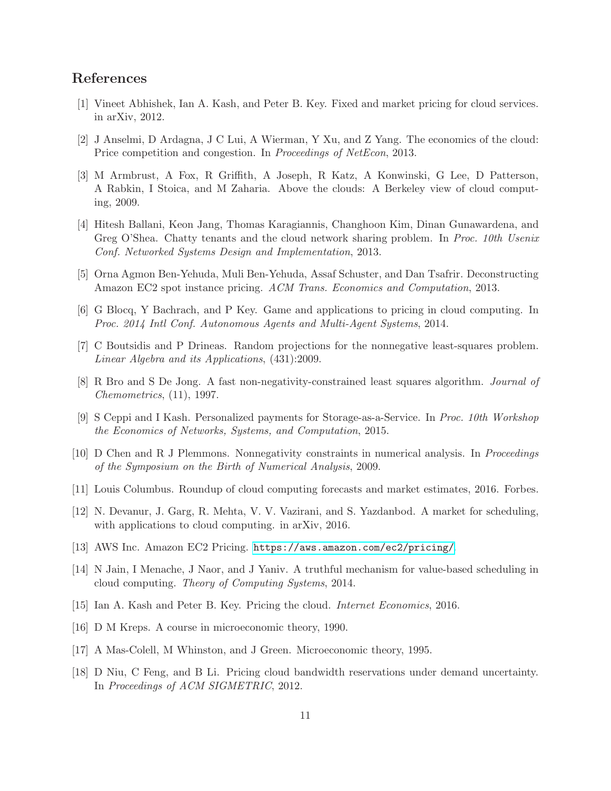## <span id="page-11-7"></span>References

- <span id="page-11-9"></span>[1] Vineet Abhishek, Ian A. Kash, and Peter B. Key. Fixed and market pricing for cloud services. in arXiv, 2012.
- <span id="page-11-0"></span>[2] J Anselmi, D Ardagna, J C Lui, A Wierman, Y Xu, and Z Yang. The economics of the cloud: Price competition and congestion. In *Proceedings of NetEcon*, 2013.
- [3] M Armbrust, A Fox, R Griffith, A Joseph, R Katz, A Konwinski, G Lee, D Patterson, A Rabkin, I Stoica, and M Zaharia. Above the clouds: A Berkeley view of cloud computing, 2009.
- <span id="page-11-13"></span>[4] Hitesh Ballani, Keon Jang, Thomas Karagiannis, Changhoon Kim, Dinan Gunawardena, and Greg O'Shea. Chatty tenants and the cloud network sharing problem. In *Proc. 10th Usenix Conf. Networked Systems Design and Implementation*, 2013.
- <span id="page-11-14"></span><span id="page-11-11"></span>[5] Orna Agmon Ben-Yehuda, Muli Ben-Yehuda, Assaf Schuster, and Dan Tsafrir. Deconstructing Amazon EC2 spot instance pricing. *ACM Trans. Economics and Computation*, 2013.
- <span id="page-11-17"></span>[6] G Blocq, Y Bachrach, and P Key. Game and applications to pricing in cloud computing. In *Proc. 2014 Intl Conf. Autonomous Agents and Multi-Agent Systems*, 2014.
- [7] C Boutsidis and P Drineas. Random projections for the nonnegative least-squares problem. *Linear Algebra and its Applications*, (431):2009.
- <span id="page-11-16"></span>[8] R Bro and S De Jong. A fast non-negativity-constrained least squares algorithm. *Journal of Chemometrics*, (11), 1997.
- <span id="page-11-15"></span><span id="page-11-12"></span>[9] S Ceppi and I Kash. Personalized payments for Storage-as-a-Service. In *Proc. 10th Workshop the Economics of Networks, Systems, and Computation*, 2015.
- <span id="page-11-1"></span>[10] D Chen and R J Plemmons. Nonnegativity constraints in numerical analysis. In *Proceedings of the Symposium on the Birth of Numerical Analysis*, 2009.
- <span id="page-11-5"></span>[11] Louis Columbus. Roundup of cloud computing forecasts and market estimates, 2016. Forbes.
- [12] N. Devanur, J. Garg, R. Mehta, V. V. Vazirani, and S. Yazdanbod. A market for scheduling, with applications to cloud computing. in arXiv, 2016.
- <span id="page-11-10"></span><span id="page-11-2"></span>[13] AWS Inc. Amazon EC2 Pricing. <https://aws.amazon.com/ec2/pricing/>.
- <span id="page-11-6"></span>[14] N Jain, I Menache, J Naor, and J Yaniv. A truthful mechanism for value-based scheduling in cloud computing. *Theory of Computing Systems*, 2014.
- <span id="page-11-4"></span>[15] Ian A. Kash and Peter B. Key. Pricing the cloud. *Internet Economics*, 2016.
- <span id="page-11-3"></span>[16] D M Kreps. A course in microeconomic theory, 1990.
- <span id="page-11-8"></span>[17] A Mas-Colell, M Whinston, and J Green. Microeconomic theory, 1995.
- [18] D Niu, C Feng, and B Li. Pricing cloud bandwidth reservations under demand uncertainty. In *Proceedings of ACM SIGMETRIC*, 2012.